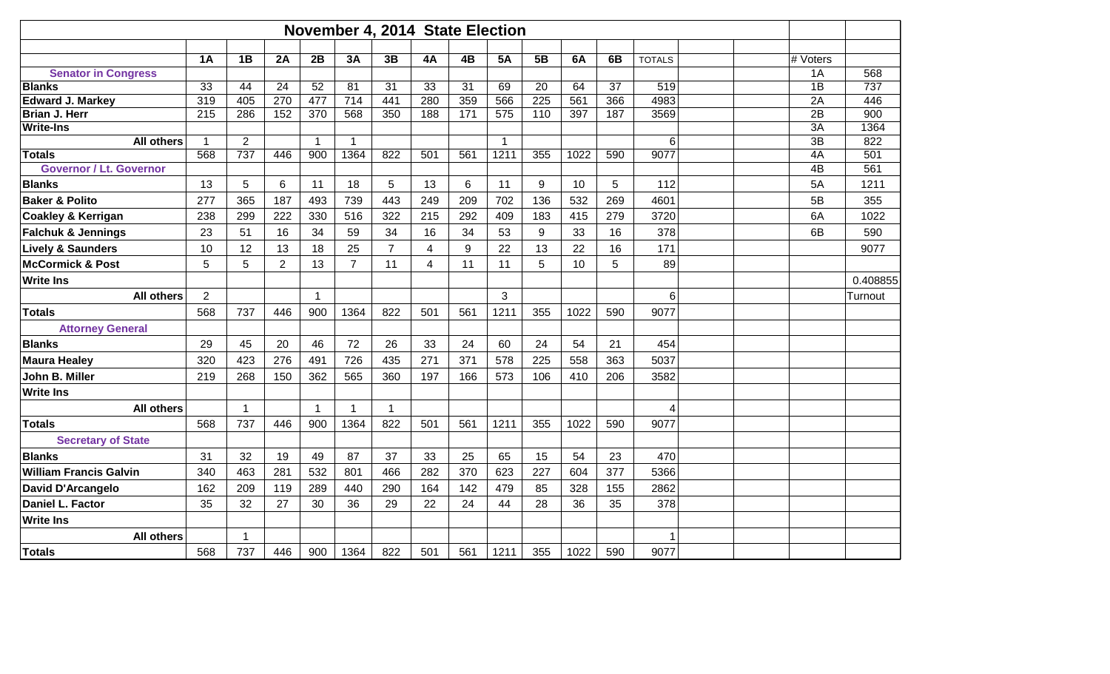|                                                 |                |                |                |                |                |                | November 4, 2014 State Election |           |              |                  |           |           |               |          |            |
|-------------------------------------------------|----------------|----------------|----------------|----------------|----------------|----------------|---------------------------------|-----------|--------------|------------------|-----------|-----------|---------------|----------|------------|
|                                                 |                |                |                |                |                |                |                                 |           |              |                  |           |           |               |          |            |
|                                                 | 1A             | 1B             | 2A             | 2B             | 3A             | 3B             | 4A                              | 4B        | <b>5A</b>    | 5B               | 6A        | 6B        | <b>TOTALS</b> | # Voters |            |
| <b>Senator in Congress</b>                      |                |                |                |                |                |                |                                 |           |              |                  |           |           |               | 1A       | 568        |
| <b>Blanks</b>                                   | 33<br>319      | 44<br>405      | 24<br>270      | 52<br>477      | 81<br>714      | 31<br>441      | 33<br>280                       | 31<br>359 | 69<br>566    | 20<br>225        | 64<br>561 | 37<br>366 | 519<br>4983   | 1B<br>2A | 737<br>446 |
| <b>Edward J. Markey</b><br><b>Brian J. Herr</b> | 215            | 286            | 152            | 370            | 568            | 350            | 188                             | 171       | 575          | 110              | 397       | 187       | 3569          | 2B       | 900        |
| <b>Write-Ins</b>                                |                |                |                |                |                |                |                                 |           |              |                  |           |           |               | 3A       | 1364       |
| <b>All others</b>                               | $\overline{1}$ | $\overline{2}$ |                | $\mathbf{1}$   | $\mathbf{1}$   |                |                                 |           | $\mathbf{1}$ |                  |           |           | $\,6$         | 3B       | 822        |
| <b>Totals</b>                                   | 568            | 737            | 446            | 900            | 1364           | 822            | 501                             | 561       | 1211         | 355              | 1022      | 590       | 9077          | 4A       | 501        |
| <b>Governor / Lt. Governor</b>                  |                |                |                |                |                |                |                                 |           |              |                  |           |           |               | 4B       | 561        |
| <b>Blanks</b>                                   | 13             | 5              | 6              | 11             | 18             | 5              | 13                              | 6         | 11           | 9                | 10        | 5         | 112           | 5A       | 1211       |
| <b>Baker &amp; Polito</b>                       | 277            | 365            | 187            | 493            | 739            | 443            | 249                             | 209       | 702          | 136              | 532       | 269       | 4601          | 5B       | 355        |
| <b>Coakley &amp; Kerrigan</b>                   | 238            | 299            | 222            | 330            | 516            | 322            | 215                             | 292       | 409          | 183              | 415       | 279       | 3720          | 6A       | 1022       |
| <b>Falchuk &amp; Jennings</b>                   | 23             | 51             | 16             | 34             | 59             | 34             | 16                              | 34        | 53           | $\boldsymbol{9}$ | 33        | 16        | 378           | 6B       | 590        |
| <b>Lively &amp; Saunders</b>                    | 10             | 12             | 13             | 18             | 25             | $\overline{7}$ | 4                               | 9         | 22           | 13               | 22        | 16        | 171           |          | 9077       |
| <b>McCormick &amp; Post</b>                     | 5              | 5              | $\overline{2}$ | 13             | $\overline{7}$ | 11             | 4                               | 11        | 11           | 5                | 10        | 5         | 89            |          |            |
| <b>Write Ins</b>                                |                |                |                |                |                |                |                                 |           |              |                  |           |           |               |          | 0.408855   |
| <b>All others</b>                               | 2              |                |                | $\mathbf 1$    |                |                |                                 |           | 3            |                  |           |           | 6             |          | Turnout    |
| <b>Totals</b>                                   | 568            | 737            | 446            | 900            | 1364           | 822            | 501                             | 561       | 1211         | 355              | 1022      | 590       | 9077          |          |            |
| <b>Attorney General</b>                         |                |                |                |                |                |                |                                 |           |              |                  |           |           |               |          |            |
| <b>Blanks</b>                                   | 29             | 45             | 20             | 46             | 72             | 26             | 33                              | 24        | 60           | 24               | 54        | 21        | 454           |          |            |
| <b>Maura Healey</b>                             | 320            | 423            | 276            | 491            | 726            | 435            | 271                             | 371       | 578          | 225              | 558       | 363       | 5037          |          |            |
| John B. Miller                                  | 219            | 268            | 150            | 362            | 565            | 360            | 197                             | 166       | 573          | 106              | 410       | 206       | 3582          |          |            |
| <b>Write Ins</b>                                |                |                |                |                |                |                |                                 |           |              |                  |           |           |               |          |            |
| <b>All others</b>                               |                | 1              |                | $\overline{1}$ | $\mathbf{1}$   | $\mathbf 1$    |                                 |           |              |                  |           |           | 4             |          |            |
| <b>Totals</b>                                   | 568            | 737            | 446            | 900            | 1364           | 822            | 501                             | 561       | 1211         | 355              | 1022      | 590       | 9077          |          |            |
| <b>Secretary of State</b>                       |                |                |                |                |                |                |                                 |           |              |                  |           |           |               |          |            |
| <b>Blanks</b>                                   | 31             | 32             | 19             | 49             | 87             | 37             | 33                              | 25        | 65           | 15               | 54        | 23        | 470           |          |            |
| <b>William Francis Galvin</b>                   | 340            | 463            | 281            | 532            | 801            | 466            | 282                             | 370       | 623          | 227              | 604       | 377       | 5366          |          |            |
| David D'Arcangelo                               | 162            | 209            | 119            | 289            | 440            | 290            | 164                             | 142       | 479          | 85               | 328       | 155       | 2862          |          |            |
| Daniel L. Factor                                | 35             | 32             | 27             | 30             | 36             | 29             | 22                              | 24        | 44           | 28               | 36        | 35        | 378           |          |            |
| <b>Write Ins</b>                                |                |                |                |                |                |                |                                 |           |              |                  |           |           |               |          |            |
| <b>All others</b>                               |                | 1              |                |                |                |                |                                 |           |              |                  |           |           | 1             |          |            |
| <b>Totals</b>                                   | 568            | 737            | 446            | 900            | 1364           | 822            | 501                             | 561       | 1211         | 355              | 1022      | 590       | 9077          |          |            |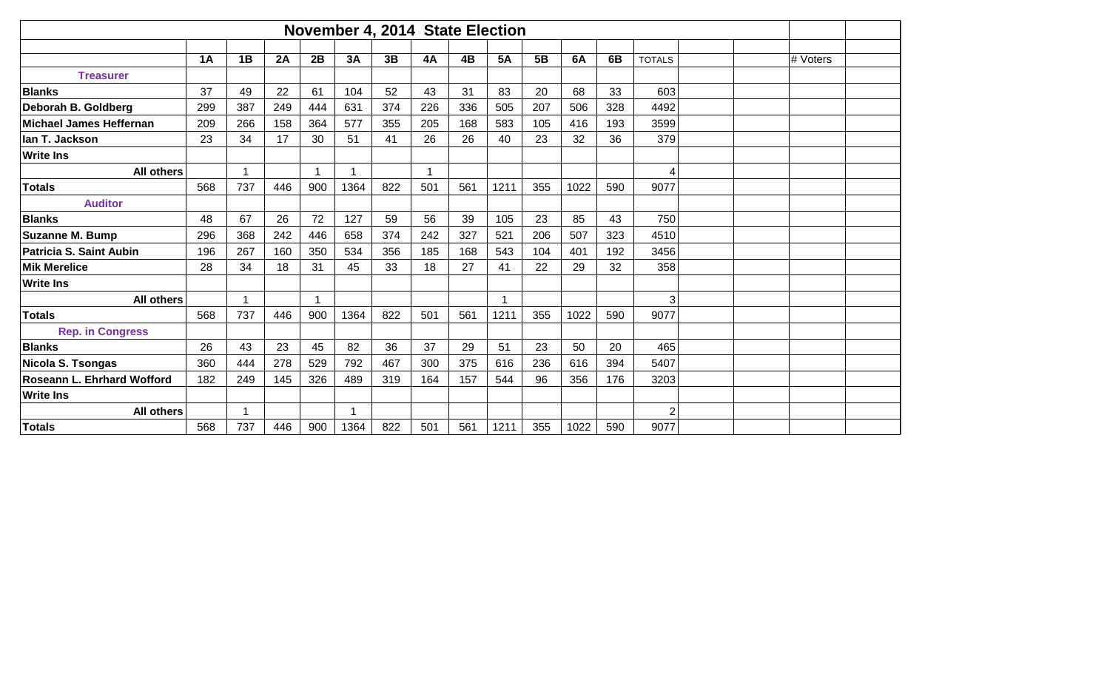|                            | November 4, 2014 State Election |     |     |                         |      |     |           |           |           |     |      |     |                |          |  |
|----------------------------|---------------------------------|-----|-----|-------------------------|------|-----|-----------|-----------|-----------|-----|------|-----|----------------|----------|--|
|                            |                                 |     |     |                         |      |     |           |           |           |     |      |     |                |          |  |
|                            | 1A                              | 1B  | 2A  | 2B                      | 3A   | 3B  | <b>4A</b> | <b>4B</b> | <b>5A</b> | 5B  | 6A   | 6B  | <b>TOTALS</b>  | # Voters |  |
| <b>Treasurer</b>           |                                 |     |     |                         |      |     |           |           |           |     |      |     |                |          |  |
| <b>Blanks</b>              | 37                              | 49  | 22  | 61                      | 104  | 52  | 43        | 31        | 83        | 20  | 68   | 33  | 603            |          |  |
| Deborah B. Goldberg        | 299                             | 387 | 249 | 444                     | 631  | 374 | 226       | 336       | 505       | 207 | 506  | 328 | 4492           |          |  |
| Michael James Heffernan    | 209                             | 266 | 158 | 364                     | 577  | 355 | 205       | 168       | 583       | 105 | 416  | 193 | 3599           |          |  |
| llan T. Jackson            | 23                              | 34  | 17  | 30                      | 51   | 41  | 26        | 26        | 40        | 23  | 32   | 36  | 379            |          |  |
| <b>Write Ins</b>           |                                 |     |     |                         |      |     |           |           |           |     |      |     |                |          |  |
| <b>All others</b>          |                                 |     |     | $\overline{\mathbf{A}}$ | 1    |     |           |           |           |     |      |     | 4              |          |  |
| Totals                     | 568                             | 737 | 446 | 900                     | 1364 | 822 | 501       | 561       | 1211      | 355 | 1022 | 590 | 9077           |          |  |
| <b>Auditor</b>             |                                 |     |     |                         |      |     |           |           |           |     |      |     |                |          |  |
| <b>Blanks</b>              | 48                              | 67  | 26  | 72                      | 127  | 59  | 56        | 39        | 105       | 23  | 85   | 43  | 750            |          |  |
| Suzanne M. Bump            | 296                             | 368 | 242 | 446                     | 658  | 374 | 242       | 327       | 521       | 206 | 507  | 323 | 4510           |          |  |
| Patricia S. Saint Aubin    | 196                             | 267 | 160 | 350                     | 534  | 356 | 185       | 168       | 543       | 104 | 401  | 192 | 3456           |          |  |
| <b>Mik Merelice</b>        | 28                              | 34  | 18  | 31                      | 45   | 33  | 18        | 27        | 41        | 22  | 29   | 32  | 358            |          |  |
| <b>Write Ins</b>           |                                 |     |     |                         |      |     |           |           |           |     |      |     |                |          |  |
| <b>All others</b>          |                                 |     |     |                         |      |     |           |           |           |     |      |     | 3              |          |  |
| Totals                     | 568                             | 737 | 446 | 900                     | 1364 | 822 | 501       | 561       | 1211      | 355 | 1022 | 590 | 9077           |          |  |
| <b>Rep. in Congress</b>    |                                 |     |     |                         |      |     |           |           |           |     |      |     |                |          |  |
| <b>Blanks</b>              | 26                              | 43  | 23  | 45                      | 82   | 36  | 37        | 29        | 51        | 23  | 50   | 20  | 465            |          |  |
| Nicola S. Tsongas          | 360                             | 444 | 278 | 529                     | 792  | 467 | 300       | 375       | 616       | 236 | 616  | 394 | 5407           |          |  |
| Roseann L. Ehrhard Wofford | 182                             | 249 | 145 | 326                     | 489  | 319 | 164       | 157       | 544       | 96  | 356  | 176 | 3203           |          |  |
| <b>Write Ins</b>           |                                 |     |     |                         |      |     |           |           |           |     |      |     |                |          |  |
| <b>All others</b>          |                                 |     |     |                         | 1    |     |           |           |           |     |      |     | $\overline{2}$ |          |  |
| <b>Totals</b>              | 568                             | 737 | 446 | 900                     | 1364 | 822 | 501       | 561       | 1211      | 355 | 1022 | 590 | 9077           |          |  |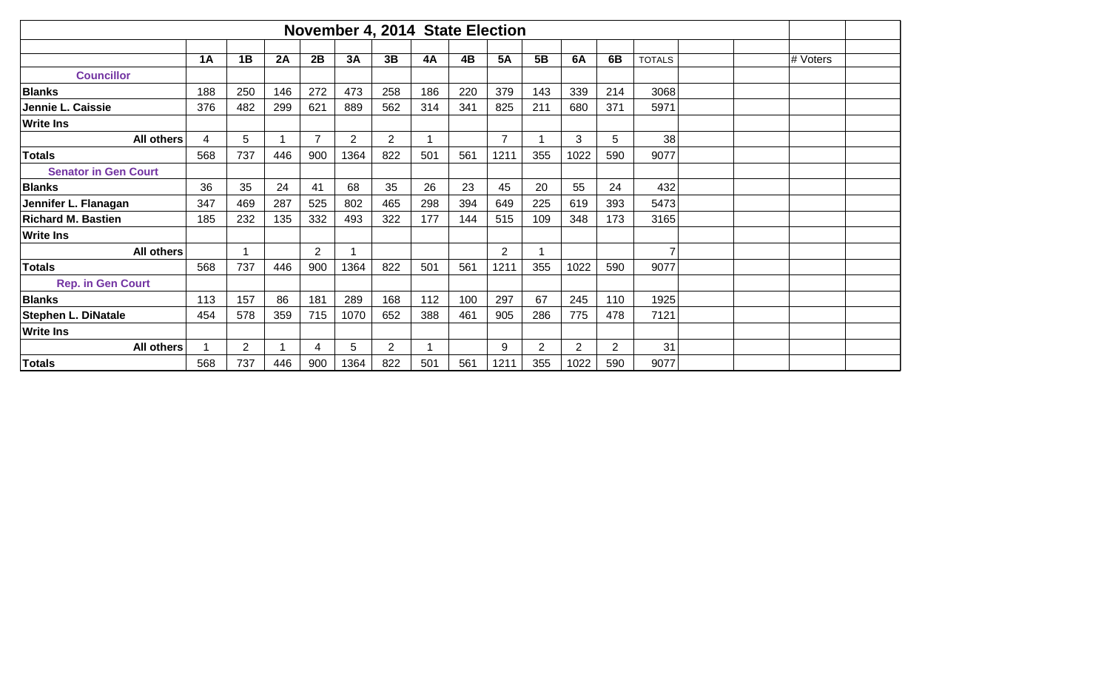|                             |     |     |     |                |                |     | November 4, 2014 State Election |     |                |            |      |     |               |  |          |  |
|-----------------------------|-----|-----|-----|----------------|----------------|-----|---------------------------------|-----|----------------|------------|------|-----|---------------|--|----------|--|
|                             |     |     |     |                |                |     |                                 |     |                |            |      |     |               |  |          |  |
|                             | 1A  | 1B  | 2A  | 2B             | 3A             | 3B  | 4A                              | 4B  | <b>5A</b>      | 5 <b>B</b> | 6A   | 6B  | <b>TOTALS</b> |  | # Voters |  |
| <b>Councillor</b>           |     |     |     |                |                |     |                                 |     |                |            |      |     |               |  |          |  |
| <b>Blanks</b>               | 188 | 250 | 146 | 272            | 473            | 258 | 186                             | 220 | 379            | 143        | 339  | 214 | 3068          |  |          |  |
| Jennie L. Caissie           | 376 | 482 | 299 | 621            | 889            | 562 | 314                             | 341 | 825            | 211        | 680  | 371 | 5971          |  |          |  |
| <b>Write Ins</b>            |     |     |     |                |                |     |                                 |     |                |            |      |     |               |  |          |  |
| <b>All others</b>           | 4   | 5   |     | $\overline{7}$ | $\overline{2}$ | 2   |                                 |     | $\overline{7}$ |            | 3    | 5   | 38            |  |          |  |
| Totals                      | 568 | 737 | 446 | 900            | 1364           | 822 | 501                             | 561 | 1211           | 355        | 1022 | 590 | 9077          |  |          |  |
| <b>Senator in Gen Court</b> |     |     |     |                |                |     |                                 |     |                |            |      |     |               |  |          |  |
| <b>Blanks</b>               | 36  | 35  | 24  | 41             | 68             | 35  | 26                              | 23  | 45             | 20         | 55   | 24  | 432           |  |          |  |
| Jennifer L. Flanagan        | 347 | 469 | 287 | 525            | 802            | 465 | 298                             | 394 | 649            | 225        | 619  | 393 | 5473          |  |          |  |
| <b>Richard M. Bastien</b>   | 185 | 232 | 135 | 332            | 493            | 322 | 177                             | 144 | 515            | 109        | 348  | 173 | 3165          |  |          |  |
| <b>Write Ins</b>            |     |     |     |                |                |     |                                 |     |                |            |      |     |               |  |          |  |
| <b>All others</b>           |     |     |     | $\overline{2}$ |                |     |                                 |     | $\overline{2}$ |            |      |     |               |  |          |  |
| Totals                      | 568 | 737 | 446 | 900            | 1364           | 822 | 501                             | 561 | 1211           | 355        | 1022 | 590 | 9077          |  |          |  |
| <b>Rep. in Gen Court</b>    |     |     |     |                |                |     |                                 |     |                |            |      |     |               |  |          |  |
| <b>Blanks</b>               | 113 | 157 | 86  | 181            | 289            | 168 | 112                             | 100 | 297            | 67         | 245  | 110 | 1925          |  |          |  |
| Stephen L. DiNatale         | 454 | 578 | 359 | 715            | 1070           | 652 | 388                             | 461 | 905            | 286        | 775  | 478 | 7121          |  |          |  |
| <b>Write Ins</b>            |     |     |     |                |                |     |                                 |     |                |            |      |     |               |  |          |  |
| <b>All others</b>           |     | 2   |     | 4              | 5              | 2   |                                 |     | 9              | 2          | 2    | 2   | 31            |  |          |  |
| <b>Totals</b>               | 568 | 737 | 446 | 900            | 1364           | 822 | 501                             | 561 | 1211           | 355        | 1022 | 590 | 9077          |  |          |  |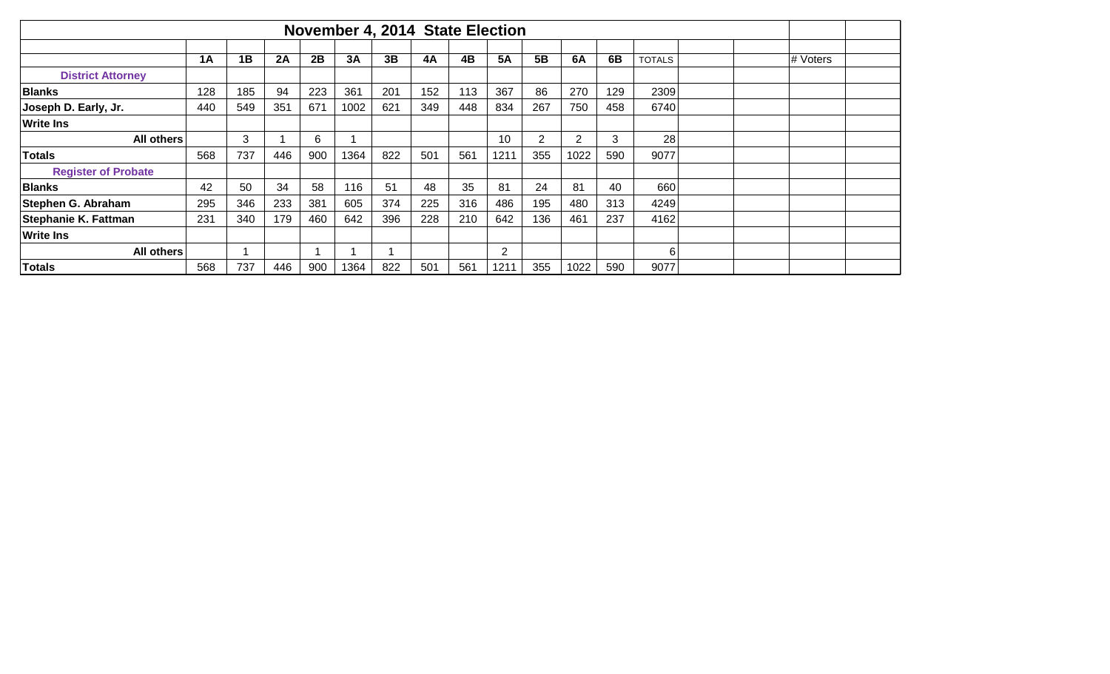|                            |     |     |     |     |      |     | November 4, 2014 State Election |     |           |     |           |     |               |          |  |
|----------------------------|-----|-----|-----|-----|------|-----|---------------------------------|-----|-----------|-----|-----------|-----|---------------|----------|--|
|                            |     |     |     |     |      |     |                                 |     |           |     |           |     |               |          |  |
|                            | 1A  | 1B  | 2A  | 2B  | 3A   | 3B  | 4A                              | 4B  | <b>5A</b> | 5B  | <b>6A</b> | 6B  | <b>TOTALS</b> | # Voters |  |
| <b>District Attorney</b>   |     |     |     |     |      |     |                                 |     |           |     |           |     |               |          |  |
| <b>Blanks</b>              | 128 | 185 | 94  | 223 | 361  | 201 | 152                             | 113 | 367       | 86  | 270       | 129 | 2309          |          |  |
| Joseph D. Early, Jr.       | 440 | 549 | 351 | 671 | 1002 | 621 | 349                             | 448 | 834       | 267 | 750       | 458 | 6740          |          |  |
| <b>Write Ins</b>           |     |     |     |     |      |     |                                 |     |           |     |           |     |               |          |  |
| <b>All others</b>          |     | 3   |     | 6   |      |     |                                 |     | 10        | 2   | 2         | 3   | 28            |          |  |
| Totals                     | 568 | 737 | 446 | 900 | 1364 | 822 | 501                             | 561 | 1211      | 355 | 1022      | 590 | 9077          |          |  |
| <b>Register of Probate</b> |     |     |     |     |      |     |                                 |     |           |     |           |     |               |          |  |
| <b>Blanks</b>              | 42  | 50  | 34  | 58  | 116  | 51  | 48                              | 35  | 81        | 24  | 81        | 40  | 660           |          |  |
| Stephen G. Abraham         | 295 | 346 | 233 | 381 | 605  | 374 | 225                             | 316 | 486       | 195 | 480       | 313 | 4249          |          |  |
| Stephanie K. Fattman       | 231 | 340 | 179 | 460 | 642  | 396 | 228                             | 210 | 642       | 136 | 461       | 237 | 4162          |          |  |
| <b>Write Ins</b>           |     |     |     |     |      |     |                                 |     |           |     |           |     |               |          |  |
| <b>All others</b>          |     |     |     |     |      |     |                                 |     | 2         |     |           |     | 6             |          |  |
| Totals                     | 568 | 737 | 446 | 900 | 1364 | 822 | 501                             | 561 | 1211      | 355 | 1022      | 590 | 9077          |          |  |